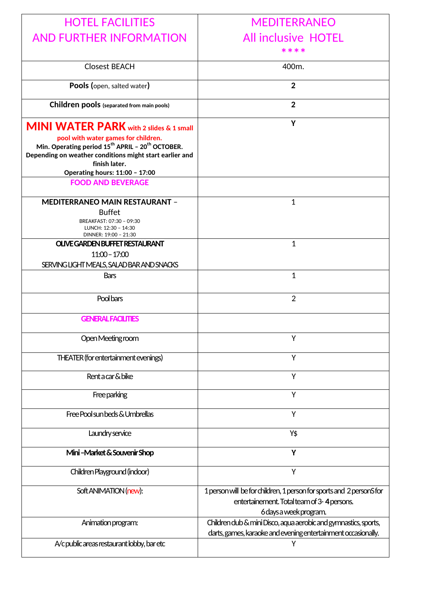| <b>HOTEL FACILITIES</b>                                                                                                                                                                                                         | <b>MEDITERRANEO</b>                                                                                                                          |
|---------------------------------------------------------------------------------------------------------------------------------------------------------------------------------------------------------------------------------|----------------------------------------------------------------------------------------------------------------------------------------------|
| <b>AND FURTHER INFORMATION</b>                                                                                                                                                                                                  | <b>All inclusive HOTEL</b>                                                                                                                   |
|                                                                                                                                                                                                                                 |                                                                                                                                              |
| <b>Closest BEACH</b>                                                                                                                                                                                                            | 400m.                                                                                                                                        |
|                                                                                                                                                                                                                                 |                                                                                                                                              |
| Pools (open, salted water)                                                                                                                                                                                                      | $\overline{2}$                                                                                                                               |
| Children pools (separated from main pools)                                                                                                                                                                                      | $\overline{2}$                                                                                                                               |
| <b>MINI WATER PARK</b> with 2 slides & 1 small<br>pool with water games for children.<br>Min. Operating period $15^{th}$ APRIL - $20^{th}$ OCTOBER.<br>Depending on weather conditions might start earlier and<br>finish later. | Y                                                                                                                                            |
| <b>Operating hours: 11:00 - 17:00</b><br><b>FOOD AND BEVERAGE</b>                                                                                                                                                               |                                                                                                                                              |
|                                                                                                                                                                                                                                 |                                                                                                                                              |
| <b>MEDITERRANEO MAIN RESTAURANT -</b><br><b>Buffet</b><br>BREAKFAST: 07:30 - 09:30<br>LUNCH: 12:30 - 14:30<br>DINNER: 19:00 - 21:30                                                                                             | 1                                                                                                                                            |
| <b>OLIVE GARDEN BUFFET RESTAURANT</b>                                                                                                                                                                                           | $\mathbf{1}$                                                                                                                                 |
| $11:00 - 17:00$<br>SERVING LIGHT MEALS, SALAD BAR AND SNACKS                                                                                                                                                                    |                                                                                                                                              |
| <b>Bars</b>                                                                                                                                                                                                                     | $\mathbf{1}$                                                                                                                                 |
|                                                                                                                                                                                                                                 |                                                                                                                                              |
| Pool bars                                                                                                                                                                                                                       | $\overline{2}$                                                                                                                               |
| <b>GENERAL FACILITIES</b>                                                                                                                                                                                                       |                                                                                                                                              |
| Open Meeting room                                                                                                                                                                                                               | Υ                                                                                                                                            |
| THEATER (for entertainment evenings)                                                                                                                                                                                            | Y                                                                                                                                            |
| Rent a car & bike                                                                                                                                                                                                               | Y                                                                                                                                            |
| Free parking                                                                                                                                                                                                                    | Υ                                                                                                                                            |
| Free Pool sun beds & Umbrellas                                                                                                                                                                                                  | Y                                                                                                                                            |
| Laundry service                                                                                                                                                                                                                 | Y\$                                                                                                                                          |
| Mini-Market & Souvenir Shop                                                                                                                                                                                                     | Y                                                                                                                                            |
| Children Playground (indoor)                                                                                                                                                                                                    | Υ                                                                                                                                            |
| Soft ANIMATION (new):                                                                                                                                                                                                           | 1 person will be for children, 1 person for sports and 2 personS for<br>entertainement. Total team of 3-4 persons.<br>6 days a week program. |
| Animation program:                                                                                                                                                                                                              | Children dub & mini Disco, aqua aerobic and gymnastics, sports,<br>darts, games, karaoke and evening entertainment occasionally.             |
| A/c public areas restaurant lobby, bar etc                                                                                                                                                                                      | Υ                                                                                                                                            |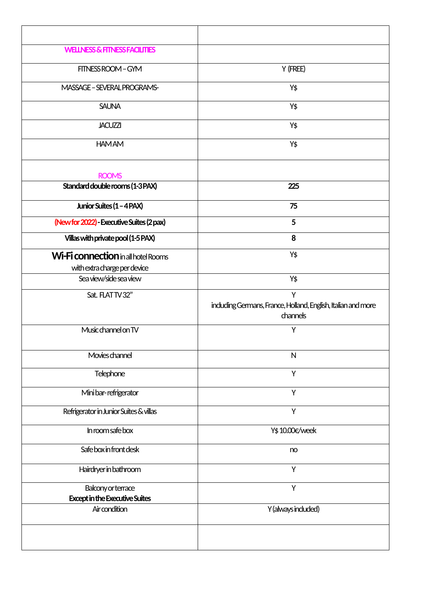| <b>WELLNESS &amp; FITNESS FACILITIES</b>                                   |                                                                                |
|----------------------------------------------------------------------------|--------------------------------------------------------------------------------|
| FITNESS ROOM - GYM                                                         | Y (FREE)                                                                       |
| MASSAGE - SEVERAL PROGRAMS-                                                | Υ\$                                                                            |
| <b>SAUNA</b>                                                               | Υ\$                                                                            |
| <b>JACUZZI</b>                                                             | Υ\$                                                                            |
| <b>HAMAM</b>                                                               | Υ\$                                                                            |
| <b>ROOMS</b>                                                               |                                                                                |
| Standard double rooms (1-3 PAX)                                            | 225                                                                            |
| Junior Suites (1 - 4 PAX)                                                  | 75                                                                             |
| (New for 2022) - Executive Suites (2 pax)                                  | 5                                                                              |
| Villas with private pool (1-5 PAX)                                         | 8                                                                              |
| <b>Wi-Fi connection</b> in all hotel Rooms<br>with extra charge per device | Υ\$                                                                            |
| Sea view/side sea view                                                     | Υ\$                                                                            |
| Sat. FLATTV32"                                                             | Υ<br>including Germans, France, Holland, English, Italian and more<br>channels |
| Music channel on TV                                                        | Υ                                                                              |
| Movies channel                                                             | ${\sf N}$                                                                      |
| Telephone                                                                  | Y                                                                              |
| Mini bar-refrigerator                                                      | Y                                                                              |
| Refrigerator in Junior Suites & villas                                     | Y                                                                              |
| In room safe box                                                           | Y\$10.00€/week                                                                 |
| Safe box in front desk                                                     | no                                                                             |
| Hairdryer in bathroom                                                      | Y                                                                              |
| Balcony or terrace<br><b>Except in the Executive Suites</b>                | Y                                                                              |
| Air condition                                                              | Y (always induded)                                                             |
|                                                                            |                                                                                |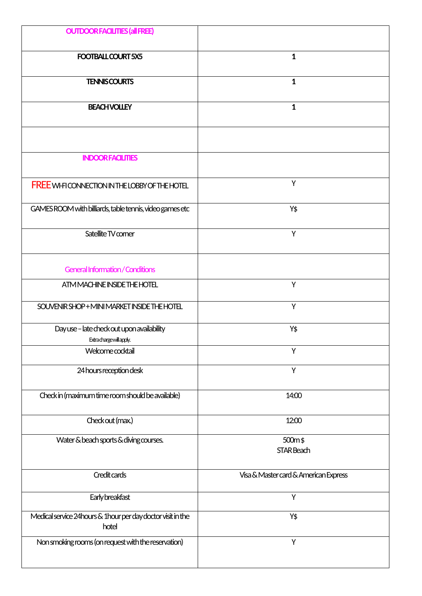| <b>OUTDOOR FACILITIES (all FREE)</b>                                   |                                       |
|------------------------------------------------------------------------|---------------------------------------|
| FOOTBALL COURT 5X5                                                     | $\mathbf{1}$                          |
| <b>TENNISCOURTS</b>                                                    | $\mathbf{1}$                          |
| <b>BEACH VOLLEY</b>                                                    | $\mathbf{1}$                          |
|                                                                        |                                       |
| <b>INDOOR FACILITIES</b>                                               |                                       |
| <b>FREE WI-FICONNECTION IN THE LOBBY OF THE HOTEL</b>                  | Y                                     |
| GAMES ROOM with billiards, table tennis, video games etc               | Y\$                                   |
| Satellite TV comer                                                     | Υ                                     |
| <b>General Information / Conditions</b>                                |                                       |
| ATM MACHINE INSIDE THE HOTEL                                           | Υ                                     |
| SOUVENIR SHOP+MINI MARKET INSIDE THE HOTEL                             | Y                                     |
| Day use - late check out upon availability<br>Extrachargewillapply.    | Y\$                                   |
| Welcome cocktail                                                       | Υ                                     |
| 24 hours reception desk                                                | Υ                                     |
| Check in (maximum time room should be available)                       | 14:00                                 |
| Check out (max.)                                                       | 12:00                                 |
| Water & beach sports & diving courses.                                 | 500m\$<br>STAR Beach                  |
| Credit cards                                                           | Visa & Master card & American Express |
| Early breakfast                                                        | Υ                                     |
| Medical service 24 hours & 1 hour per day doctor visit in the<br>hotel | Υ\$                                   |
| Non smoking rooms (on request with the reservation)                    | Υ                                     |